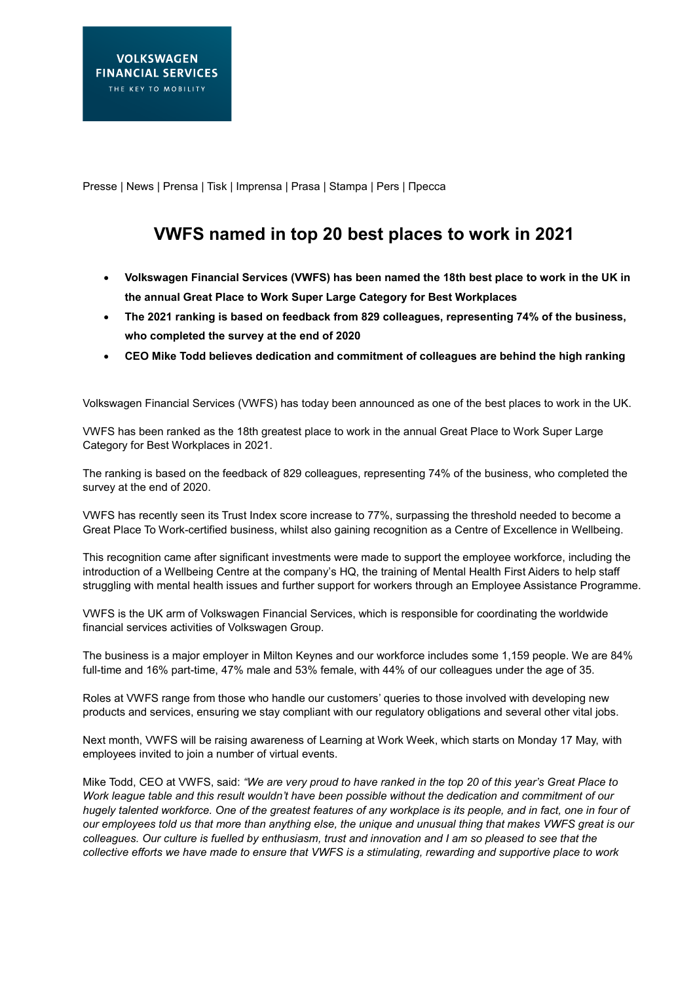Presse | News | Prensa | Tisk | Imprensa | Prasa | Stampa | Pers | Пресса

## **VWFS named in top 20 best places to work in 2021**

- **Volkswagen Financial Services (VWFS) has been named the 18th best place to work in the UK in the annual Great Place to Work Super Large Category for Best Workplaces**
- **The 2021 ranking is based on feedback from 829 colleagues, representing 74% of the business, who completed the survey at the end of 2020**
- **CEO Mike Todd believes dedication and commitment of colleagues are behind the high ranking**

Volkswagen Financial Services (VWFS) has today been announced as one of the best places to work in the UK.

VWFS has been ranked as the 18th greatest place to work in the annual Great Place to Work Super Large Category for Best Workplaces in 2021.

The ranking is based on the feedback of 829 colleagues, representing 74% of the business, who completed the survey at the end of 2020.

VWFS has recently seen its Trust Index score increase to 77%, surpassing the threshold needed to become a Great Place To Work-certified business, whilst also gaining recognition as a Centre of Excellence in Wellbeing.

This recognition came after significant investments were made to support the employee workforce, including the introduction of a Wellbeing Centre at the company's HQ, the training of Mental Health First Aiders to help staff struggling with mental health issues and further support for workers through an Employee Assistance Programme.

VWFS is the UK arm of Volkswagen Financial Services, which is responsible for coordinating the worldwide financial services activities of Volkswagen Group.

The business is a major employer in Milton Keynes and our workforce includes some 1,159 people. We are 84% full-time and 16% part-time, 47% male and 53% female, with 44% of our colleagues under the age of 35.

Roles at VWFS range from those who handle our customers' queries to those involved with developing new products and services, ensuring we stay compliant with our regulatory obligations and several other vital jobs.

Next month, VWFS will be raising awareness of Learning at Work Week, which starts on Monday 17 May, with employees invited to join a number of virtual events.

Mike Todd, CEO at VWFS, said: *"We are very proud to have ranked in the top 20 of this year's Great Place to Work league table and this result wouldn't have been possible without the dedication and commitment of our hugely talented workforce. One of the greatest features of any workplace is its people, and in fact, one in four of our employees told us that more than anything else, the unique and unusual thing that makes VWFS great is our colleagues. Our culture is fuelled by enthusiasm, trust and innovation and I am so pleased to see that the collective efforts we have made to ensure that VWFS is a stimulating, rewarding and supportive place to work*